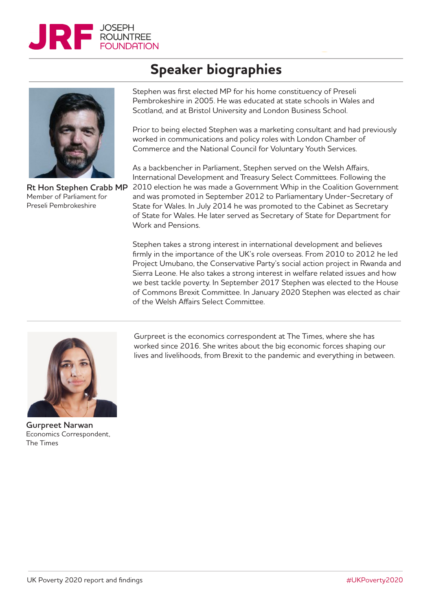



**Rt Hon Stephen Crabb MP** Member of Parliament for Preseli Pembrokeshire

## **Speaker biographies**

Stephen was first elected MP for his home constituency of Preseli Pembrokeshire in 2005. He was educated at state schools in Wales and Scotland, and at Bristol University and London Business School.

Prior to being elected Stephen was a marketing consultant and had previously worked in communications and policy roles with London Chamber of Commerce and the National Council for Voluntary Youth Services.

As a backbencher in Parliament, Stephen served on the Welsh Affairs, International Development and Treasury Select Committees. Following the 2010 election he was made a Government Whip in the Coalition Government and was promoted in September 2012 to Parliamentary Under-Secretary of State for Wales. In July 2014 he was promoted to the Cabinet as Secretary of State for Wales. He later served as Secretary of State for Department for Work and Pensions.

Stephen takes a strong interest in international development and believes firmly in the importance of the UK's role overseas. From 2010 to 2012 he led Project Umubano, the Conservative Party's social action project in Rwanda and Sierra Leone. He also takes a strong interest in welfare related issues and how we best tackle poverty. In September 2017 Stephen was elected to the House of Commons Brexit Committee. In January 2020 Stephen was elected as chair of the Welsh Affairs Select Committee.



**Gurpreet Narwan** Economics Correspondent, The Times

Gurpreet is the economics correspondent at The Times, where she has worked since 2016. She writes about the big economic forces shaping our lives and livelihoods, from Brexit to the pandemic and everything in between.